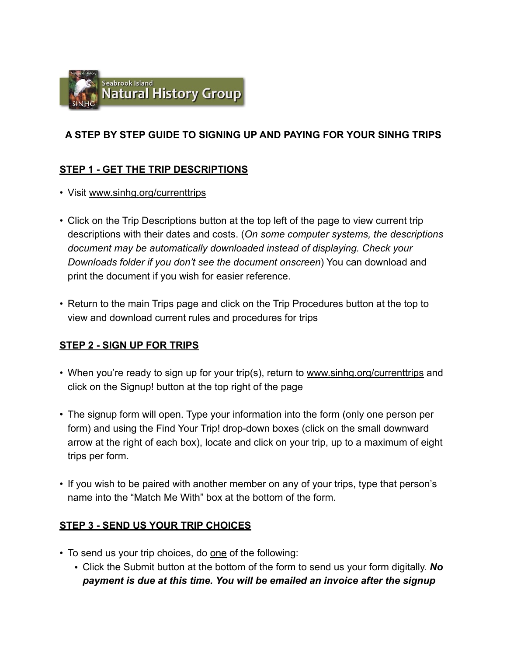

## **A STEP BY STEP GUIDE TO SIGNING UP AND PAYING FOR YOUR SINHG TRIPS**

## **STEP 1 - GET THE TRIP DESCRIPTIONS**

- Visit [www.sinhg.org/currenttrips](http://www.sinhg.org/currenttrips)
- Click on the Trip Descriptions button at the top left of the page to view current trip descriptions with their dates and costs. (*On some computer systems, the descriptions document may be automatically downloaded instead of displaying. Check your Downloads folder if you don't see the document onscreen*) You can download and print the document if you wish for easier reference.
- Return to the main Trips page and click on the Trip Procedures button at the top to view and download current rules and procedures for trips

## **STEP 2 - SIGN UP FOR TRIPS**

- When you're ready to sign up for your trip(s), return to [www.sinhg.org/currenttrips](http://www.sinhg.org/currenttrips) and click on the Signup! button at the top right of the page
- The signup form will open. Type your information into the form (only one person per form) and using the Find Your Trip! drop-down boxes (click on the small downward arrow at the right of each box), locate and click on your trip, up to a maximum of eight trips per form.
- If you wish to be paired with another member on any of your trips, type that person's name into the "Match Me With" box at the bottom of the form.

#### **STEP 3 - SEND US YOUR TRIP CHOICES**

- To send us your trip choices, do one of the following:
	- Click the Submit button at the bottom of the form to send us your form digitally. *No payment is due at this time. You will be emailed an invoice after the signup*